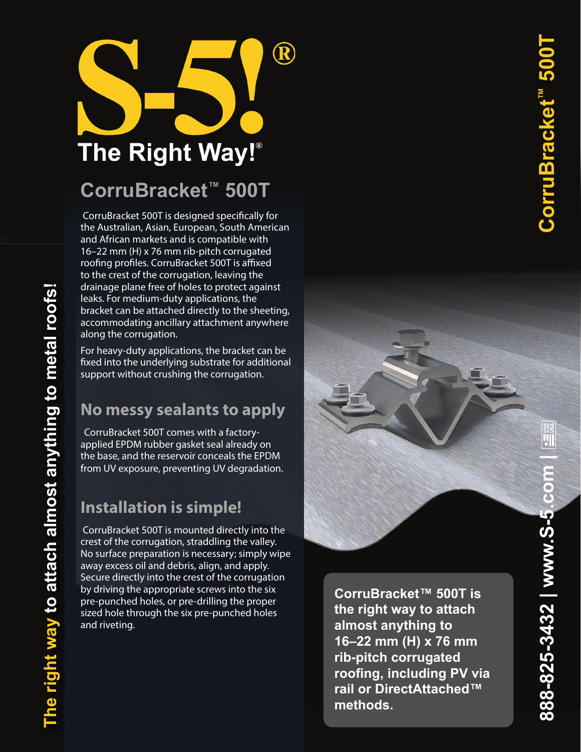

# **CorruBracket ™ 500T**

 CorruBracket 500T is designed specifically for the Australian, Asian, European, South American and African markets and is compatible with 16–22 mm (H) x 76 mm rib-pitch corrugated roofing profiles. CorruBracket 500T is affixed to the crest of the corrugation, leaving the drainage plane free of holes to protect against leaks. For medium-duty applications, the bracket can be attached directly to the sheeting, accommodating ancillary attachment anywhere along the corrugation.

For heavy -duty applications, the bracket can be fixed into the underlying substrate for additional support without crushing the corrugation.

### **No messy sealants to apply**

CorruBracket 500T comes with a factoryapplied EPDM rubber gasket seal already on the base, and the reservoir conceals the EPDM from UV exposure, preventing UV degradation.

## **Installation is simple!**

**The right way to attach almost anything to metal roofs!** 

The right way to attach almost anything to metal roofs!

 CorruBracket 500T is mounted directly into the crest of the corrugation, straddling the valley. No surface preparation is necessary; simply wipe away excess oil and debris, align, and apply. Secure directly into the crest of the corrugation by driving the appropriate screws into the six pre-punched holes, or pre-drilling the proper sized hole through the six pre -punched holes and riveting.

**CorruBracket™ 500T is the right way to attach almost anything to 16–22 mm (H) x 76 mm rib-pitch corrugated roofing, including PV via rail or DirectAttached™ methods.**